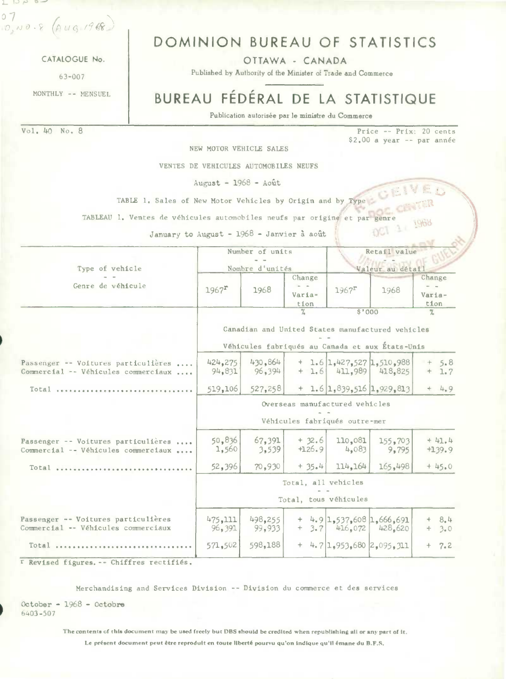$07$  $0,00.8$   $(10, 1968)$ 

CATALOGUE No.

 $63 - 007$ 

MONTHLY -- MENSUEL

## DOMINION BUREAU OF STATISTICS

OTTAWA - CANADA

Published by Authority of the Minister of Trade and Commerce

# BUREAU FÉDÉRAL DE LA STATISTIQUE

Publication autorisée par le ministre du Commerce

Vol. 40 No. 8 Price -- Prix: 20 cents  $$2,00$  a year -- par année NEW MOTOR VEHICLE SALES VENTES DE VEHICULES AUTOMOBILES NEUFS  $August - 1968 - Août$ TABLE 1. Sales of New Motor Vehicles by Origin and by Type TABLEAU 1. Ventes de véhicules automobiles neufs par origine et par genre 1968 DC1 34 January to August - 1968 - Janvier à août Number of units Retail value Type of vehicle Nombre d'unités Valéur au détail Change Change Genre de véhicule  $\frac{1}{2}$  $1967$ <sup>r</sup> 1968  $1967$ <sup>r</sup> 1968 Varia-Variation tion  $5'000$  $\frac{2\pi}{\sqrt{2}}$  $\frac{9}{2}$ Canadian and United States manufactured vehicles Véhicules fabriqués au Canada et aux États-Unis 1.6 1.427.527 1.510.988 424.275 430,864  $5.8$  $+$  $\rightarrow$ Passenger -- Voitures particulières .... 418.825 Commercial -- Véhicules commerciaux .... 94,831 96,394  $1.6$ 411,989  $+$  $1.7$ 527.258  $+1.6|1,839,516|1,929,813$  $+$  $4.9$ 519,106 Total ................................. Overseas manufactured vehicles Véhicules fabriqués outre-mer 50,836 67,391 Passenger -- Voitures particulières ....  $+32.6$ 110,081 155,703  $+41.4$ 4,083  $+126.9$ 1,560 3,539  $9,795$  $+139.9$ Commercial -- Véhicules commerciaux ....  $+45.0$ 114,164 165.498 52,396 70.930  $+35.4$ Total .................. Total, all vehicles Total, tous véhicules Passenger -- Voitures particulières 475,111  $+$  4.9 1,537,608 1,666,691 498,255  $8.4$ Commercial -- Véhicules commerciaux 96,391 99,933 416.072 428.620  $3.7$  $3.0$  $\ddot{}$ 598,188  $+$  4.7 1.953.680 2.095.311 Total ....................... 571,502  $+$  $7.2$ r Revised figures. -- Chiffres rectifiés.

Merchandising and Services Division -- Division du commerce et des services

October - 1968 - Octobre  $6403 - 507$ 

The contents of this document may be used freely but DBS should be credited when republishing all or any part of it.

Le présent document peut être reproduit en toute liberté pourvu qu'on indique qu'il émane du B.F.S.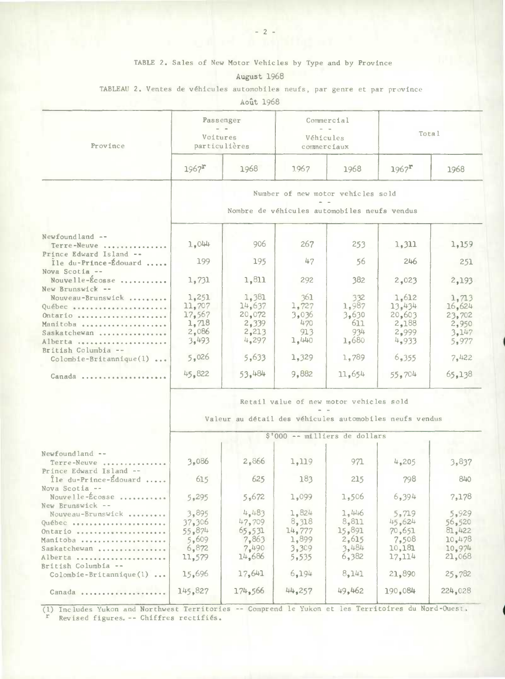### TABLE 2. Sales of New Motor Vehicles by Type and by Province

August 1968

### TABLEAU 2. Ventes de véhicules automobiles neufs, par genre et par province

Aoit 1968

|                                                               |                                                         | Passenger       |              | Commercial                                   |                     |                 |  |  |  |  |  |  |
|---------------------------------------------------------------|---------------------------------------------------------|-----------------|--------------|----------------------------------------------|---------------------|-----------------|--|--|--|--|--|--|
| Province                                                      | Voitures                                                | particulières   |              | Véhicules<br>commerciaux                     |                     | Total           |  |  |  |  |  |  |
|                                                               | $1967$ <sup>r</sup>                                     | 1968            | 1.967        | 1968                                         | $1967$ <sup>r</sup> | 1968            |  |  |  |  |  |  |
|                                                               |                                                         |                 |              | Number of new motor vehicles sold            |                     |                 |  |  |  |  |  |  |
|                                                               |                                                         |                 |              | Nombre de véhicules automobiles neufs vendus |                     |                 |  |  |  |  |  |  |
|                                                               |                                                         |                 |              |                                              |                     |                 |  |  |  |  |  |  |
| Newfoundland --<br>Terre-Neuve<br>Prince Edward Island --     | 1,044                                                   | 906             | 267          | 253                                          | 1,311               | 1,159           |  |  |  |  |  |  |
| Ile du-Prince-Édouard<br>Nova Scotia --                       | 199                                                     | 195             | 47           | 56                                           | 246                 | 251             |  |  |  |  |  |  |
| Nouvelle-Écosse<br>New Brunswick --                           | 1,731                                                   | 1,811           | 292          | 382                                          | 2,023               | 2,193           |  |  |  |  |  |  |
| Nouveau-Brunswick<br>Québec                                   | 1,251<br>11,707                                         | 1,381<br>14.637 | 361<br>1,727 | 332<br>1,987                                 | 1,612<br>13,434     | 1,713<br>16,624 |  |  |  |  |  |  |
| Ontario                                                       | 17,567                                                  | 20,072          | 3,036        | 3,630                                        | 20,603              | 23,702          |  |  |  |  |  |  |
| Manitoba                                                      | 1,718                                                   | 2,339           | 470          | 611                                          | 2,188               | 2,950           |  |  |  |  |  |  |
| Saskatchewan                                                  | 2,086                                                   | 2,213           | 913          | 934                                          | 2,999               | 3,147           |  |  |  |  |  |  |
| Alberta                                                       | 3,493                                                   | 4,297           | 1,440        | 1,680                                        | 4,933               | 5,977           |  |  |  |  |  |  |
| British Columbia --<br>$\text{Colombie-Britannique}(1) \dots$ | 5,026                                                   | 5,633           | 1,329        | 1,789                                        | 6,355               | 7,422           |  |  |  |  |  |  |
| Canada                                                        | 45,822                                                  | 53,484          | 9,882        | 11,654                                       | 55,704              | 65,138          |  |  |  |  |  |  |
|                                                               | Retail value of new motor vehicles sold                 |                 |              |                                              |                     |                 |  |  |  |  |  |  |
|                                                               | Valeur au détail des véhicules automobiles neufs vendus |                 |              |                                              |                     |                 |  |  |  |  |  |  |
|                                                               | \$'000 -- milliers de dollars                           |                 |              |                                              |                     |                 |  |  |  |  |  |  |
|                                                               |                                                         |                 |              |                                              |                     |                 |  |  |  |  |  |  |
| Newfoundland --<br>Terre-Neuve<br>Prince Edward Island --     | 3,086                                                   | 2,866           | 1,119        | 971                                          | 4,205               | 3,837           |  |  |  |  |  |  |
| Île du-Prince-Édouard<br>Nova Scotia --                       | 615                                                     | 625             | 183          | 215                                          | 798                 | 840             |  |  |  |  |  |  |
| Nouvelle-Ecosse<br>New Brunswick --                           | 5,295                                                   | 5,672           | 1,099        | 1,506                                        | 6,394               | 7,178           |  |  |  |  |  |  |
| Nouveau-Brunswick                                             | 3,895                                                   | 4.483           | 1,824        | 1,446                                        | 5,719               | 5,929           |  |  |  |  |  |  |
| Québec                                                        | 37,306                                                  | 47,709          | 8,318        | 8,811                                        | 45,624              | 56,520          |  |  |  |  |  |  |
| Ontario                                                       | 55,874                                                  | 65.531          | 14.777       | 15,891                                       | 70,651              | 81,422          |  |  |  |  |  |  |
| Manitoba                                                      | 5,609                                                   | 7,863           | 1,899        | 2,615                                        | 7,508               | 10,478          |  |  |  |  |  |  |
| Saskatchewan                                                  | 6,872                                                   | 7,490           | 3,309        | 3,484                                        | 10,181              | 10,974          |  |  |  |  |  |  |
| Alberta                                                       | 11,579                                                  | 14,686          | 5,535        | 6,382                                        | 17,114              | 21,068          |  |  |  |  |  |  |
| British Columbia --<br>Colombie-Britannique(1)                | 15,696                                                  | 17,641          | 6,194        | 8,141                                        | 21,890              | 25,782          |  |  |  |  |  |  |
| Canada                                                        | 145,827                                                 | 174,566         | 44,257       | 49,462                                       | 190,084             | 224,028         |  |  |  |  |  |  |

(1) Includes Yukon and Northwest Territories -- Comprend le Yukon et les Territoires du Nord-Ouest. r Revised figures. -- Chiffres rectifiés.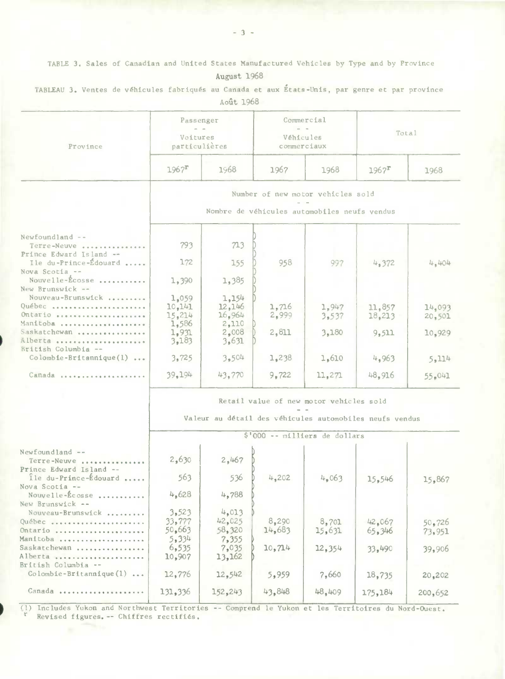TABLE 3. Sales of Canadian and United States Manufactured Vehicles by Type and by Province

August 1968

|                                                          |                                                                                          | AOUT 1900               |                 |                                         |                     |                  |  |  |  |  |
|----------------------------------------------------------|------------------------------------------------------------------------------------------|-------------------------|-----------------|-----------------------------------------|---------------------|------------------|--|--|--|--|
| Province                                                 | Passenger<br>Voitures<br>particulières                                                   |                         |                 | Commercial<br>Véhicules<br>commerciaux  | Total               |                  |  |  |  |  |
|                                                          |                                                                                          |                         |                 |                                         |                     |                  |  |  |  |  |
|                                                          | $1967^{\rm T}$                                                                           | 1968                    | 1967            | 1968                                    | $1967$ <sup>r</sup> | 1968             |  |  |  |  |
|                                                          |                                                                                          |                         |                 | Number of new motor vehicles sold       |                     |                  |  |  |  |  |
|                                                          | Nombre de véhicules automobiles neufs vendus                                             |                         |                 |                                         |                     |                  |  |  |  |  |
| Newfoundland --                                          |                                                                                          |                         |                 |                                         |                     |                  |  |  |  |  |
| Terre-Neuve<br>Prince Edward Island --                   | 793                                                                                      | 713                     |                 |                                         |                     |                  |  |  |  |  |
| Ile du-Prince-Édouard<br>Nova Scotia --                  | 172                                                                                      | 155                     | 958             | 997                                     | 4,372               | 4,404            |  |  |  |  |
| Nouvelle-Écosse<br>New Brunswick --                      | 1,390                                                                                    | 1,385                   |                 |                                         |                     |                  |  |  |  |  |
| Nouveau-Brunswick<br>Québec                              | 1,059                                                                                    | 1,154<br>12,146         |                 |                                         |                     |                  |  |  |  |  |
| Ontario                                                  | 10,141<br>15,214                                                                         | 16,964                  | 1,716<br>2,999  | 1,947<br>3,537                          | 11,857<br>18,213    | 14,093<br>20,501 |  |  |  |  |
| Manitoba<br>Saskatchewan<br>Alberta                      | 1,586<br>1,931<br>3,183                                                                  | 2,110<br>2,008<br>3,631 | 2,811           | 3,180                                   | 9,511               | 10,929           |  |  |  |  |
| British Columbia --<br>$\text{Colomb}$ ie-Britannique(1) | 3,725                                                                                    | 3,504                   | 1,238           | 1,610                                   | 4,963               | 5,114            |  |  |  |  |
| Canada                                                   | 39,194                                                                                   | 43,770                  | 9,722           | 11,271                                  | 48,916              | 55,041           |  |  |  |  |
|                                                          |                                                                                          |                         |                 |                                         |                     |                  |  |  |  |  |
|                                                          |                                                                                          |                         |                 | Retail value of new motor vehicles sold |                     |                  |  |  |  |  |
|                                                          | Valeur au détail des véhicules automobiles neufs vendus<br>\$'000 -- milliers de dollars |                         |                 |                                         |                     |                  |  |  |  |  |
|                                                          |                                                                                          |                         |                 |                                         |                     |                  |  |  |  |  |
| $Newtondland --$                                         |                                                                                          |                         |                 |                                         |                     |                  |  |  |  |  |
| Terre-Neuve<br>Prince Edward Island --                   | 2,630                                                                                    | 2,467                   |                 |                                         |                     |                  |  |  |  |  |
| Ile du-Prince-Édouard<br>Nova Scotia --                  | 563                                                                                      | 536                     | 4,202           | 4,063                                   | 15,546              | 15,867           |  |  |  |  |
| Nouvelle-Écosse<br>New Brunswick --                      | 4,628                                                                                    | 4,788                   |                 |                                         |                     |                  |  |  |  |  |
| Nouveau-Brunswick                                        | 3,523                                                                                    | 4,013                   |                 |                                         |                     |                  |  |  |  |  |
| Québec<br>Ontario                                        | 33,777<br>50,663                                                                         | 42,025<br>58,320        | 8,290<br>14,683 | 8,701<br>15,631                         | 42,067<br>65.346    | 50,726<br>73,951 |  |  |  |  |
| Manitoba<br>Saskatchewan                                 | 5,334<br>6,535                                                                           | 7,355<br>7,035          | 10,714          | 12,354                                  | 33,490              | 39,906           |  |  |  |  |
| Alberta<br>British Columbia --                           | 10,907                                                                                   | 13,162                  |                 |                                         |                     |                  |  |  |  |  |
| $Colombie-Brittannique(1) $                              | 12,776                                                                                   | 12,542                  | 5,959           | 7,660                                   | 18,735              | 20,202           |  |  |  |  |
| Canada                                                   | 131,336                                                                                  | 152,243                 | 43,848          | 48,409                                  | 175,184             | 200,652          |  |  |  |  |

TABLEAU 3. Ventes de véhicules fabriqués au Canada et aux États-Unis, par genre et par province  $0.925 - 3068$ 

(1) Includes Yukon and Northwest Territories -- Comprend le Yukon et les Territoires du Nord-Ouest. Revised figures. -- Chiffres rectifiés.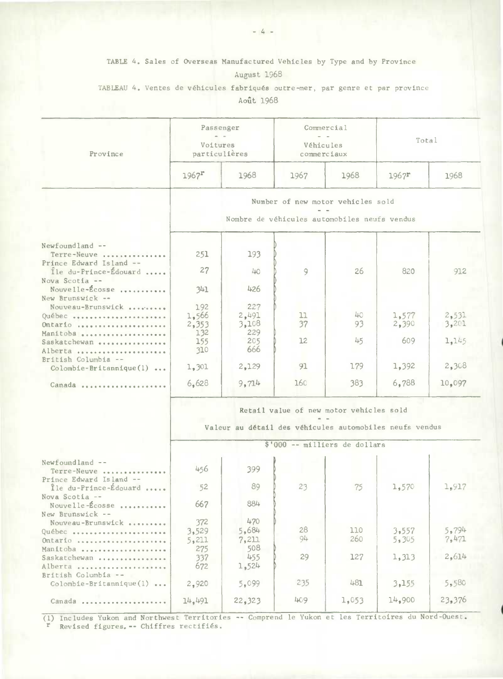TABLE 4. Sales of Overseas Manufactured Vehicles by Type and by Province August 1968

TABLEAU 4. Ventes de véhicules fabriqués outre-mer, par genre et par province Aout 1968

| Province                                                           | Voitures                                                | Passenger<br>particulières                   | Véhicules<br>commerciaux | Commercial                    | Total          |                |  |  |  |  |  |  |
|--------------------------------------------------------------------|---------------------------------------------------------|----------------------------------------------|--------------------------|-------------------------------|----------------|----------------|--|--|--|--|--|--|
|                                                                    | $1967$ <sup>r</sup>                                     | 1968                                         | 1967                     | 1968                          | $1967$ $r$     | 1968           |  |  |  |  |  |  |
|                                                                    | Number of new motor vehicles sold                       |                                              |                          |                               |                |                |  |  |  |  |  |  |
|                                                                    |                                                         | Nombre de véhicules automobiles neufs vendus |                          |                               |                |                |  |  |  |  |  |  |
|                                                                    |                                                         |                                              |                          |                               |                |                |  |  |  |  |  |  |
| Newfoundland --<br>Terre-Neuve<br>Prince Edward Island --          | 251                                                     | 193                                          |                          |                               |                |                |  |  |  |  |  |  |
| Ile du-Prince-Édouard<br>Nova Scotia --                            | 27                                                      | 40 <sup>o</sup>                              | 9                        | 26                            | 820            | 912            |  |  |  |  |  |  |
| Nouvelle-Écosse<br>New Brunswick --                                | 341                                                     | 426                                          |                          |                               |                |                |  |  |  |  |  |  |
| Nouveau-Brunswick<br>Québec<br>Ontario                             | 192<br>1,566<br>2,353                                   | 227<br>2,491<br>3,108                        | 11<br>37                 | 40<br>93                      | 1,577<br>2,390 | 2,531<br>3,201 |  |  |  |  |  |  |
| Manitoba<br>Saskatchewan                                           | 132<br>155<br>310                                       | 229<br>205<br>666                            | 12                       | 45                            | 609            | 1,145          |  |  |  |  |  |  |
| Alberta<br>British Columbia --<br>Colombie-Britannique(1)          | 1,301                                                   | 2,129                                        | 91                       | 179                           | 1,392          | 2,308          |  |  |  |  |  |  |
| Canada                                                             | 6,628                                                   | 9,714                                        | 160                      | 383                           | 6,788          | 10,097         |  |  |  |  |  |  |
|                                                                    | Retail value of new motor vehicles sold                 |                                              |                          |                               |                |                |  |  |  |  |  |  |
|                                                                    | Valeur au détail des véhicules automobiles neufs vendus |                                              |                          |                               |                |                |  |  |  |  |  |  |
|                                                                    |                                                         |                                              |                          | \$'000 -- milliers de dollars |                |                |  |  |  |  |  |  |
| $Newfoundland --$<br>Terre-Neuve                                   | 456                                                     | 399                                          |                          |                               |                |                |  |  |  |  |  |  |
| Prince Edward Island --<br>Île du-Prince-Édouard<br>Nova Scotia -- | 52                                                      | 89                                           | 23                       | 75                            | 1,570          | 1,917          |  |  |  |  |  |  |
| Nouvelle-Écosse<br>New Brunswick --                                | 667                                                     | 884                                          |                          |                               |                |                |  |  |  |  |  |  |
| Nouveau-Brunswick<br>Québec<br>Ontario                             | 372<br>3,529<br>5,211                                   | 470<br>5,684<br>7,211                        | 28<br>94                 | 110<br>260                    | 3,557<br>5,305 | 5,794<br>7,471 |  |  |  |  |  |  |
| Manitoba<br>Saskatchewan<br>Alberta                                | 275<br>337<br>672                                       | 508<br>455<br>1,524                          | 29                       | 127                           | 1,313          | 2,614          |  |  |  |  |  |  |
| British Columbia --<br>$Colomble-Britanrique(1) $                  | 2,920                                                   | 5,099                                        | 235                      | 481                           | 3,155          | 5,580          |  |  |  |  |  |  |
| Canada                                                             | 14,491                                                  | 22,323                                       | 409                      | 1,053                         | 14,900         | 23,376         |  |  |  |  |  |  |

(1) Includes Yukon and Northwest Territories -- Comprend le Yukon et les Territoires du Nord-Ouest. <sup>r</sup> Revised figures.-- Chiffres rectifiés.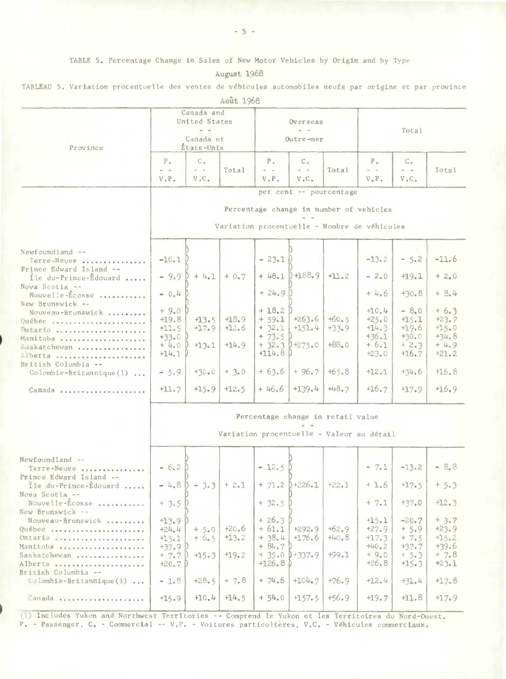TABLE 5. Percentage Change in Sales of New Motor Vehicles by Origin and by Type

August 1968

| TABLEAU 5. Variation procentuelle des ventes de véhicules automobiles neufs par origine et par province |  |  |  |  |  |  |  |  |  |  |  |  |  |  |
|---------------------------------------------------------------------------------------------------------|--|--|--|--|--|--|--|--|--|--|--|--|--|--|
|---------------------------------------------------------------------------------------------------------|--|--|--|--|--|--|--|--|--|--|--|--|--|--|

|                                                                                                                                                                                                                                                                                                |                                                                                                                    |                                                               | Aout 1968                                                    |                                                                                                               |                                                                                     |                                                                |                                                                                                                    |                                                                                                                    |                                                                                                                    |  |
|------------------------------------------------------------------------------------------------------------------------------------------------------------------------------------------------------------------------------------------------------------------------------------------------|--------------------------------------------------------------------------------------------------------------------|---------------------------------------------------------------|--------------------------------------------------------------|---------------------------------------------------------------------------------------------------------------|-------------------------------------------------------------------------------------|----------------------------------------------------------------|--------------------------------------------------------------------------------------------------------------------|--------------------------------------------------------------------------------------------------------------------|--------------------------------------------------------------------------------------------------------------------|--|
| Province                                                                                                                                                                                                                                                                                       |                                                                                                                    | Canada and<br>United States<br>Canada et<br>États-Unis        |                                                              |                                                                                                               | Overseas<br>Outre-mer                                                               |                                                                | Total                                                                                                              |                                                                                                                    |                                                                                                                    |  |
|                                                                                                                                                                                                                                                                                                | $P_{+}$<br>V.P.                                                                                                    | $C_{\bullet}$<br>$\omega = \omega$<br>$V$ . $C$ .             | Total                                                        | $P_{\alpha}$<br>$\sim$ 100 $\mu$<br>$V \cdot P$ .                                                             | $C_{\alpha}$<br>$\qquad \qquad =\qquad$<br>$V$ . $C$ .                              | Total                                                          | Ρ.<br>$\omega = \omega$<br>V, P.                                                                                   | C.<br>$\sim$ $ -$<br>$V$ , $C$ ,                                                                                   | Total                                                                                                              |  |
|                                                                                                                                                                                                                                                                                                | per cent -- pourcentage<br>Percentage change in number of vehicles<br>Variation procentuelle - Nombre de véhicules |                                                               |                                                              |                                                                                                               |                                                                                     |                                                                |                                                                                                                    |                                                                                                                    |                                                                                                                    |  |
| Newfoundland --<br>Terre-Neuve<br>Prince Edward Island --<br>Ile du-Prince-Edouard<br>Nova Scotia --<br>Nouvelle-Ecosse<br>New Brunswick --<br>Nouveau-Brunswick<br>Québec<br>Ontario<br>Manitoba<br>Saskatchewan<br>Alberta<br>British Columbia --<br>$Colomble-Britannique(1) $<br>Canada    | $-10.1$<br>$-9.9$<br>$-0.4$<br>$+9.0$<br>$+19.8$<br>$+11.5$<br>$+33.0$<br>$+4.0$<br>$+14.1$<br>$= 5.9$<br>$+11.7$  | $+4.1$<br>$+13.5$<br>$+17.9$<br>$+13.1$<br>$+30.0$<br>$+15.9$ | $+0.7$<br>$+18.9$<br>$+12.6$<br>$+14.9$<br>$+3.0$<br>$+12.5$ | $-23.1$<br>$+48.1$<br>$+24.9$<br>$+18.2$<br>$+ 59.1$<br>$+32.1$<br>$+ 73.5$<br>$+114.8$<br>$+63.6$<br>$+46.6$ | H88.9<br>$+263.6$<br>$+151.4$<br>$+32.3$ $+275.0$<br>$+96.7$<br>$+139.4$            | $+11.2$<br>$+60.5$<br>$+33.9$<br>$+88.0$<br>$+65.8$<br>$+48.7$ | $-13.2$<br>$-2.0$<br>$+4.6$<br>$+10.4$<br>$+25.0$<br>$+14.3$<br>$+36.1$<br>$+6.1$<br>$+23.0$<br>$+12.1$<br>$+16.7$ | $-5.2$<br>$+19.1$<br>$+30.8$<br>$-8.0$<br>$+15.1$<br>$+19.6$<br>$+30.0$<br>$+2.3$<br>$+16.7$<br>$+34.6$<br>$+17.9$ | $-11.6$<br>$+2.0$<br>$+ 8.4$<br>$+6.3$<br>$+23.7$<br>$+15.0$<br>$+34.8$<br>$+4.9$<br>$+21.2$<br>$+16.8$<br>$+16.9$ |  |
|                                                                                                                                                                                                                                                                                                | Percentage change in retail value<br>Variation procentuelle - Valeur au détail                                     |                                                               |                                                              |                                                                                                               |                                                                                     |                                                                |                                                                                                                    |                                                                                                                    |                                                                                                                    |  |
| Newfoundland --<br>Terre-Neuve<br>Prince Edward Island --<br>Ile du-Prince-Édouard<br>Nova Scotia --<br>Nouvelle-Ecosse<br>New Brunswick --<br>Nouveau-Brunswick<br>Québec<br>Ontario<br>Manitoba<br>Saskatchewan<br>Alberta<br>British Columbia --<br>$\text{Colombie-Britannique}(1) \ldots$ | $-6.2$<br>$-4.8$<br>$+3.5$<br>$+13.9$<br>$+24.4$<br>$+15.1$<br>$+37.9$<br>$+ 7.7$<br>$+20.7$<br>$-1.8$             | $-3.3$ + 2.1<br>$+5.0$<br>$+6.5$<br>$+15.3$<br>$+28.5$        | $+20.6$<br>$+13.2$<br>$+19.2$<br>$+7.8$                      | $-12.5D$<br>$+32.5$<br>$+26.3$<br>$+61.1$<br>$+ 38.4$<br>$+84.7$<br>$+126.8$<br>$+ 74.6$                      | $+ 71.2$ $+ 226.1$ $+ 22.1$<br>$+292.9$<br>$+176.6$<br>$+35.0$ $+337.9$<br>$+104.7$ | $+62.9$<br>$+40.8$<br>$+99.1$<br>$+76.9$                       | $-7.1$<br>$+1.6$<br>$+ 7.1$<br>$+15.1$<br>$+27.9$<br>$+17.3$<br>$+40.2$<br>$+9.0$<br>$+26.8$<br>$+12.4$            | $-13.2$<br>$+17.5$<br>$+37.0$<br>$-20.7$<br>$+5.9$<br>$+7.5$<br>$+37.7$<br>$+5.3$<br>$+15.3$<br>$+31.4$            | $-8.8$<br>$+5.3$<br>$+12.3$<br>$+3.7$<br>$+23.9$<br>$+15.2$<br>$+39.6$<br>$+7.8$<br>$+23.1$<br>$+17.8$             |  |
| Canada                                                                                                                                                                                                                                                                                         | $+15.9$                                                                                                            | $+10.4$                                                       | $+14.5$                                                      | $+54.0$                                                                                                       | $+157.5$                                                                            | $+56.9$                                                        | $+19.7$                                                                                                            | $+11.8$                                                                                                            | $+17.9$                                                                                                            |  |

(1) Includes Yukon and Northwest Territories -- Comprend le Yukon et les Territoires du Nord-Ouest.<br>P. - Passenger, C. - Commercial -- V.P. - Voitures particulières, V.C. - Véhicules commerciaux.